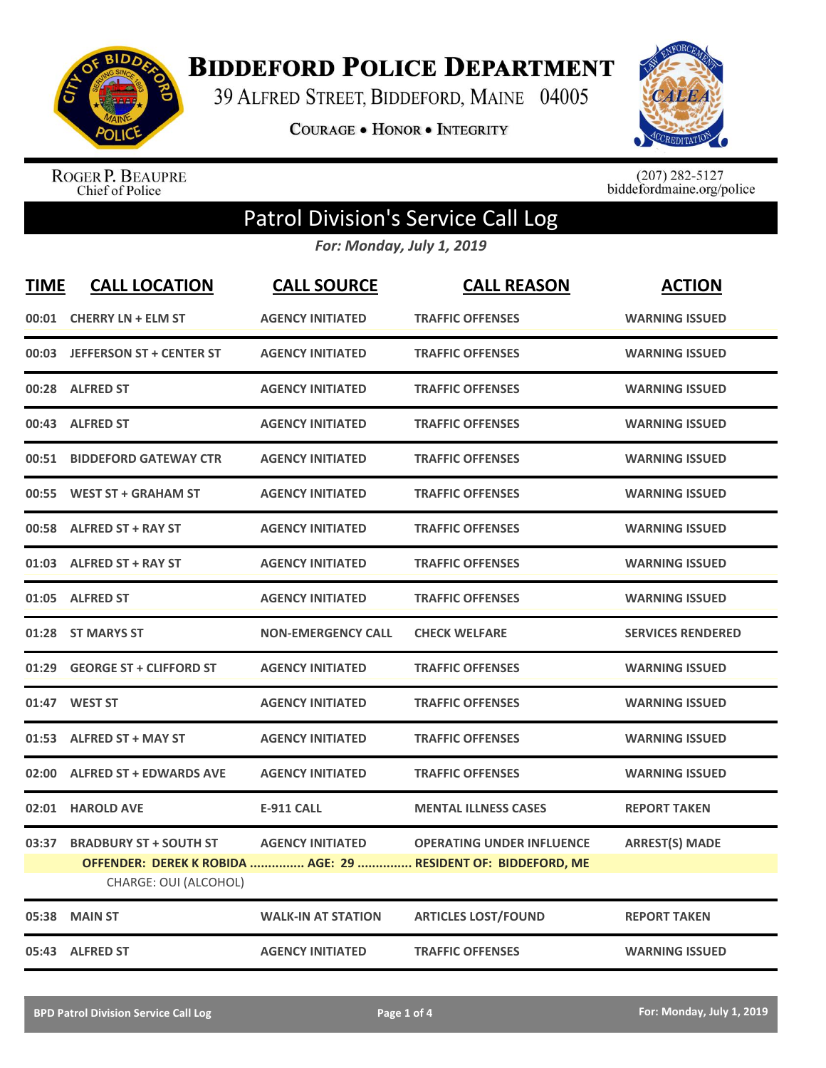

**BIDDEFORD POLICE DEPARTMENT** 

39 ALFRED STREET, BIDDEFORD, MAINE 04005

**COURAGE . HONOR . INTEGRITY** 



ROGER P. BEAUPRE<br>Chief of Police

 $(207)$  282-5127<br>biddefordmaine.org/police

## Patrol Division's Service Call Log

*For: Monday, July 1, 2019*

| <b>TIME</b> | <b>CALL LOCATION</b>           | <b>CALL SOURCE</b>        | <b>CALL REASON</b>                                                                                | <b>ACTION</b>            |
|-------------|--------------------------------|---------------------------|---------------------------------------------------------------------------------------------------|--------------------------|
| 00:01       | <b>CHERRY LN + ELM ST</b>      | <b>AGENCY INITIATED</b>   | <b>TRAFFIC OFFENSES</b>                                                                           | <b>WARNING ISSUED</b>    |
|             | 00:03 JEFFERSON ST + CENTER ST | <b>AGENCY INITIATED</b>   | <b>TRAFFIC OFFENSES</b>                                                                           | <b>WARNING ISSUED</b>    |
| 00:28       | <b>ALFRED ST</b>               | <b>AGENCY INITIATED</b>   | <b>TRAFFIC OFFENSES</b>                                                                           | <b>WARNING ISSUED</b>    |
| 00:43       | <b>ALFRED ST</b>               | <b>AGENCY INITIATED</b>   | <b>TRAFFIC OFFENSES</b>                                                                           | <b>WARNING ISSUED</b>    |
| 00:51       | <b>BIDDEFORD GATEWAY CTR</b>   | <b>AGENCY INITIATED</b>   | <b>TRAFFIC OFFENSES</b>                                                                           | <b>WARNING ISSUED</b>    |
| 00:55       | <b>WEST ST + GRAHAM ST</b>     | <b>AGENCY INITIATED</b>   | <b>TRAFFIC OFFENSES</b>                                                                           | <b>WARNING ISSUED</b>    |
| 00:58       | <b>ALFRED ST + RAY ST</b>      | <b>AGENCY INITIATED</b>   | <b>TRAFFIC OFFENSES</b>                                                                           | <b>WARNING ISSUED</b>    |
| 01:03       | <b>ALFRED ST + RAY ST</b>      | <b>AGENCY INITIATED</b>   | <b>TRAFFIC OFFENSES</b>                                                                           | <b>WARNING ISSUED</b>    |
| 01:05       | <b>ALFRED ST</b>               | <b>AGENCY INITIATED</b>   | <b>TRAFFIC OFFENSES</b>                                                                           | <b>WARNING ISSUED</b>    |
| 01:28       | <b>ST MARYS ST</b>             | <b>NON-EMERGENCY CALL</b> | <b>CHECK WELFARE</b>                                                                              | <b>SERVICES RENDERED</b> |
| 01:29       | <b>GEORGE ST + CLIFFORD ST</b> | <b>AGENCY INITIATED</b>   | <b>TRAFFIC OFFENSES</b>                                                                           | <b>WARNING ISSUED</b>    |
| 01:47       | <b>WEST ST</b>                 | <b>AGENCY INITIATED</b>   | <b>TRAFFIC OFFENSES</b>                                                                           | <b>WARNING ISSUED</b>    |
| 01:53       | <b>ALFRED ST + MAY ST</b>      | <b>AGENCY INITIATED</b>   | <b>TRAFFIC OFFENSES</b>                                                                           | <b>WARNING ISSUED</b>    |
| 02:00       | <b>ALFRED ST + EDWARDS AVE</b> | <b>AGENCY INITIATED</b>   | <b>TRAFFIC OFFENSES</b>                                                                           | <b>WARNING ISSUED</b>    |
| 02:01       | <b>HAROLD AVE</b>              | <b>E-911 CALL</b>         | <b>MENTAL ILLNESS CASES</b>                                                                       | <b>REPORT TAKEN</b>      |
| 03:37       | <b>BRADBURY ST + SOUTH ST</b>  | <b>AGENCY INITIATED</b>   | <b>OPERATING UNDER INFLUENCE</b><br>OFFENDER: DEREK K ROBIDA  AGE: 29  RESIDENT OF: BIDDEFORD, ME | <b>ARREST(S) MADE</b>    |
|             | CHARGE: OUI (ALCOHOL)          |                           |                                                                                                   |                          |
| 05:38       | <b>MAIN ST</b>                 | <b>WALK-IN AT STATION</b> | <b>ARTICLES LOST/FOUND</b>                                                                        | <b>REPORT TAKEN</b>      |
|             | 05:43 ALFRED ST                | <b>AGENCY INITIATED</b>   | <b>TRAFFIC OFFENSES</b>                                                                           | <b>WARNING ISSUED</b>    |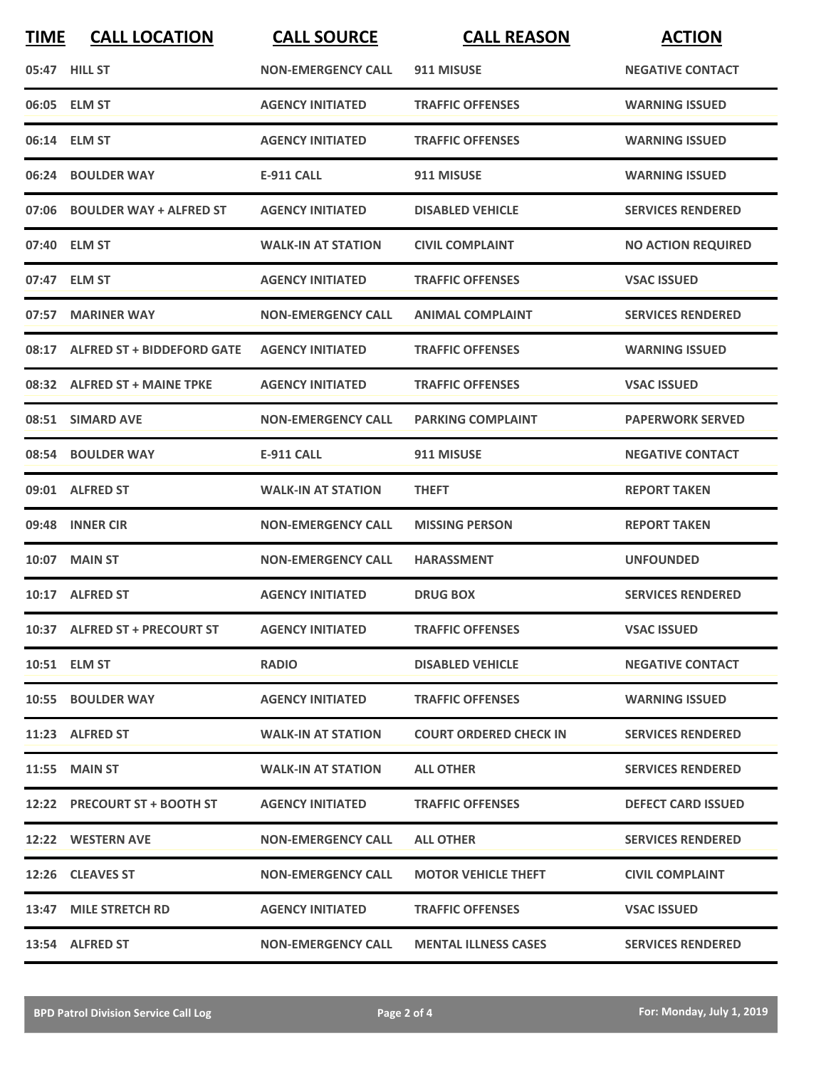| <b>TIME</b> | <b>CALL LOCATION</b>             | <b>CALL SOURCE</b>        | <b>CALL REASON</b>            | <b>ACTION</b>             |
|-------------|----------------------------------|---------------------------|-------------------------------|---------------------------|
|             | 05:47 HILL ST                    | <b>NON-EMERGENCY CALL</b> | 911 MISUSE                    | <b>NEGATIVE CONTACT</b>   |
|             | 06:05 ELM ST                     | <b>AGENCY INITIATED</b>   | <b>TRAFFIC OFFENSES</b>       | <b>WARNING ISSUED</b>     |
|             | 06:14 ELM ST                     | <b>AGENCY INITIATED</b>   | <b>TRAFFIC OFFENSES</b>       | <b>WARNING ISSUED</b>     |
|             | 06:24 BOULDER WAY                | E-911 CALL                | 911 MISUSE                    | <b>WARNING ISSUED</b>     |
|             | 07:06 BOULDER WAY + ALFRED ST    | <b>AGENCY INITIATED</b>   | <b>DISABLED VEHICLE</b>       | <b>SERVICES RENDERED</b>  |
|             | 07:40 ELM ST                     | <b>WALK-IN AT STATION</b> | <b>CIVIL COMPLAINT</b>        | <b>NO ACTION REQUIRED</b> |
|             | 07:47 ELM ST                     | <b>AGENCY INITIATED</b>   | <b>TRAFFIC OFFENSES</b>       | <b>VSAC ISSUED</b>        |
|             | 07:57 MARINER WAY                | <b>NON-EMERGENCY CALL</b> | <b>ANIMAL COMPLAINT</b>       | <b>SERVICES RENDERED</b>  |
|             | 08:17 ALFRED ST + BIDDEFORD GATE | <b>AGENCY INITIATED</b>   | <b>TRAFFIC OFFENSES</b>       | <b>WARNING ISSUED</b>     |
|             | 08:32 ALFRED ST + MAINE TPKE     | <b>AGENCY INITIATED</b>   | <b>TRAFFIC OFFENSES</b>       | <b>VSAC ISSUED</b>        |
|             | 08:51 SIMARD AVE                 | <b>NON-EMERGENCY CALL</b> | <b>PARKING COMPLAINT</b>      | <b>PAPERWORK SERVED</b>   |
|             | 08:54 BOULDER WAY                | <b>E-911 CALL</b>         | 911 MISUSE                    | <b>NEGATIVE CONTACT</b>   |
|             | 09:01 ALFRED ST                  | <b>WALK-IN AT STATION</b> | <b>THEFT</b>                  | <b>REPORT TAKEN</b>       |
|             | 09:48 INNER CIR                  | <b>NON-EMERGENCY CALL</b> | <b>MISSING PERSON</b>         | <b>REPORT TAKEN</b>       |
|             | 10:07 MAIN ST                    | <b>NON-EMERGENCY CALL</b> | <b>HARASSMENT</b>             | <b>UNFOUNDED</b>          |
|             | 10:17 ALFRED ST                  | <b>AGENCY INITIATED</b>   | <b>DRUG BOX</b>               | <b>SERVICES RENDERED</b>  |
|             | 10:37 ALFRED ST + PRECOURT ST    | <b>AGENCY INITIATED</b>   | <b>TRAFFIC OFFENSES</b>       | <b>VSAC ISSUED</b>        |
|             | 10:51 ELM ST                     | <b>RADIO</b>              | <b>DISABLED VEHICLE</b>       | <b>NEGATIVE CONTACT</b>   |
|             | 10:55 BOULDER WAY                | <b>AGENCY INITIATED</b>   | <b>TRAFFIC OFFENSES</b>       | <b>WARNING ISSUED</b>     |
|             | 11:23 ALFRED ST                  | <b>WALK-IN AT STATION</b> | <b>COURT ORDERED CHECK IN</b> | <b>SERVICES RENDERED</b>  |
|             | <b>11:55 MAIN ST</b>             | <b>WALK-IN AT STATION</b> | <b>ALL OTHER</b>              | <b>SERVICES RENDERED</b>  |
|             | 12:22 PRECOURT ST + BOOTH ST     | <b>AGENCY INITIATED</b>   | <b>TRAFFIC OFFENSES</b>       | <b>DEFECT CARD ISSUED</b> |
|             | 12:22 WESTERN AVE                | <b>NON-EMERGENCY CALL</b> | <b>ALL OTHER</b>              | <b>SERVICES RENDERED</b>  |
|             | 12:26 CLEAVES ST                 | <b>NON-EMERGENCY CALL</b> | <b>MOTOR VEHICLE THEFT</b>    | <b>CIVIL COMPLAINT</b>    |
|             | 13:47 MILE STRETCH RD            | <b>AGENCY INITIATED</b>   | <b>TRAFFIC OFFENSES</b>       | <b>VSAC ISSUED</b>        |
|             | 13:54 ALFRED ST                  | <b>NON-EMERGENCY CALL</b> | <b>MENTAL ILLNESS CASES</b>   | <b>SERVICES RENDERED</b>  |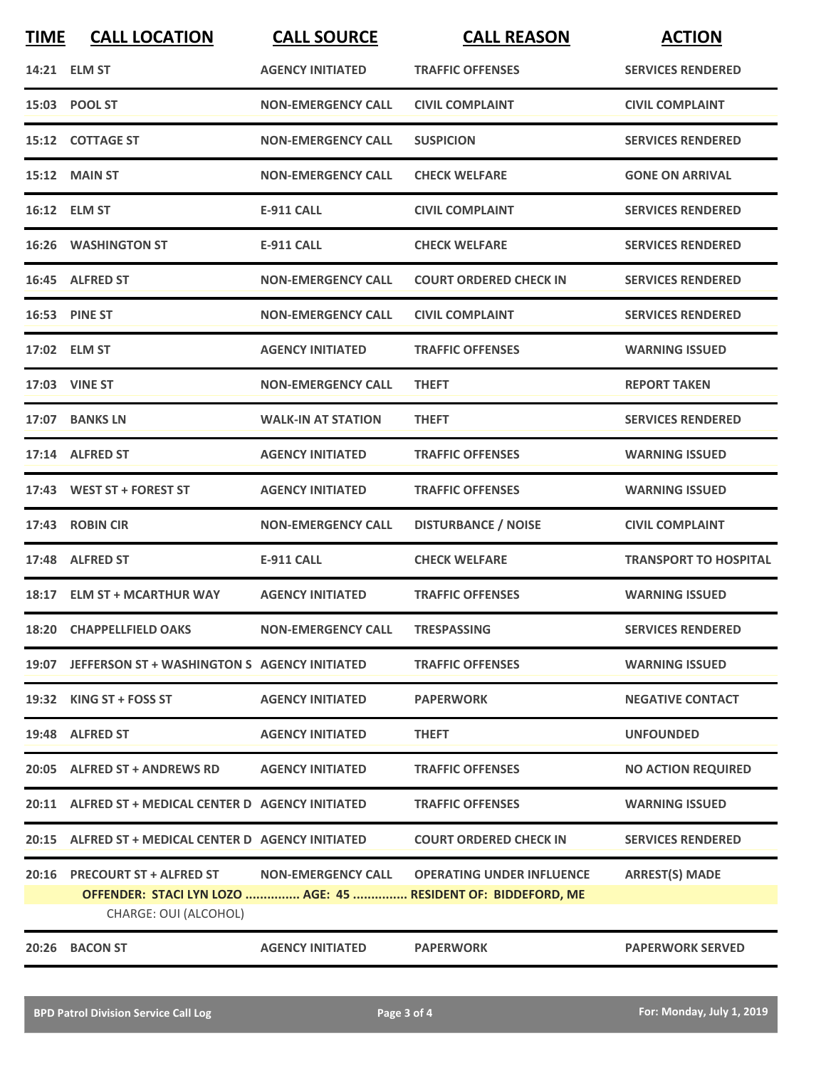| <b>TIME</b> | <b>CALL LOCATION</b>                                | <b>CALL SOURCE</b>        | <b>CALL REASON</b>                                            | <b>ACTION</b>                |
|-------------|-----------------------------------------------------|---------------------------|---------------------------------------------------------------|------------------------------|
|             | 14:21 ELM ST                                        | <b>AGENCY INITIATED</b>   | <b>TRAFFIC OFFENSES</b>                                       | <b>SERVICES RENDERED</b>     |
|             | 15:03 POOL ST                                       | <b>NON-EMERGENCY CALL</b> | <b>CIVIL COMPLAINT</b>                                        | <b>CIVIL COMPLAINT</b>       |
|             | 15:12 COTTAGE ST                                    | <b>NON-EMERGENCY CALL</b> | <b>SUSPICION</b>                                              | <b>SERVICES RENDERED</b>     |
|             | <b>15:12 MAIN ST</b>                                | <b>NON-EMERGENCY CALL</b> | <b>CHECK WELFARE</b>                                          | <b>GONE ON ARRIVAL</b>       |
|             | 16:12 ELM ST                                        | <b>E-911 CALL</b>         | <b>CIVIL COMPLAINT</b>                                        | <b>SERVICES RENDERED</b>     |
|             | <b>16:26 WASHINGTON ST</b>                          | <b>E-911 CALL</b>         | <b>CHECK WELFARE</b>                                          | <b>SERVICES RENDERED</b>     |
|             | 16:45 ALFRED ST                                     | <b>NON-EMERGENCY CALL</b> | <b>COURT ORDERED CHECK IN</b>                                 | <b>SERVICES RENDERED</b>     |
|             | <b>16:53 PINE ST</b>                                | <b>NON-EMERGENCY CALL</b> | <b>CIVIL COMPLAINT</b>                                        | <b>SERVICES RENDERED</b>     |
|             | 17:02 ELM ST                                        | <b>AGENCY INITIATED</b>   | <b>TRAFFIC OFFENSES</b>                                       | <b>WARNING ISSUED</b>        |
|             | 17:03 VINE ST                                       | <b>NON-EMERGENCY CALL</b> | <b>THEFT</b>                                                  | <b>REPORT TAKEN</b>          |
|             | 17:07 BANKS LN                                      | <b>WALK-IN AT STATION</b> | <b>THEFT</b>                                                  | <b>SERVICES RENDERED</b>     |
|             | 17:14 ALFRED ST                                     | <b>AGENCY INITIATED</b>   | <b>TRAFFIC OFFENSES</b>                                       | <b>WARNING ISSUED</b>        |
|             | 17:43 WEST ST + FOREST ST                           | <b>AGENCY INITIATED</b>   | <b>TRAFFIC OFFENSES</b>                                       | <b>WARNING ISSUED</b>        |
|             | 17:43 ROBIN CIR                                     | <b>NON-EMERGENCY CALL</b> | <b>DISTURBANCE / NOISE</b>                                    | <b>CIVIL COMPLAINT</b>       |
|             | 17:48 ALFRED ST                                     | <b>E-911 CALL</b>         | <b>CHECK WELFARE</b>                                          | <b>TRANSPORT TO HOSPITAL</b> |
|             | 18:17 ELM ST + MCARTHUR WAY                         | <b>AGENCY INITIATED</b>   | <b>TRAFFIC OFFENSES</b>                                       | <b>WARNING ISSUED</b>        |
|             | 18:20 CHAPPELLFIELD OAKS                            | <b>NON-EMERGENCY CALL</b> | <b>TRESPASSING</b>                                            | <b>SERVICES RENDERED</b>     |
|             | 19:07 JEFFERSON ST + WASHINGTON S AGENCY INITIATED  |                           | <b>TRAFFIC OFFENSES</b>                                       | <b>WARNING ISSUED</b>        |
|             | 19:32 KING ST + FOSS ST                             | <b>AGENCY INITIATED</b>   | <b>PAPERWORK</b>                                              | <b>NEGATIVE CONTACT</b>      |
|             | 19:48 ALFRED ST                                     | <b>AGENCY INITIATED</b>   | <b>THEFT</b>                                                  | <b>UNFOUNDED</b>             |
|             | 20:05 ALFRED ST + ANDREWS RD                        | <b>AGENCY INITIATED</b>   | <b>TRAFFIC OFFENSES</b>                                       | <b>NO ACTION REQUIRED</b>    |
|             | 20:11 ALFRED ST + MEDICAL CENTER D AGENCY INITIATED |                           | <b>TRAFFIC OFFENSES</b>                                       | <b>WARNING ISSUED</b>        |
|             | 20:15 ALFRED ST + MEDICAL CENTER D AGENCY INITIATED |                           | <b>COURT ORDERED CHECK IN</b>                                 | <b>SERVICES RENDERED</b>     |
|             | 20:16 PRECOURT ST + ALFRED ST                       | <b>NON-EMERGENCY CALL</b> | <b>OPERATING UNDER INFLUENCE</b>                              | <b>ARREST(S) MADE</b>        |
|             | CHARGE: OUI (ALCOHOL)                               |                           | OFFENDER: STACI LYN LOZO  AGE: 45  RESIDENT OF: BIDDEFORD, ME |                              |
|             | 20:26 BACON ST                                      | <b>AGENCY INITIATED</b>   | <b>PAPERWORK</b>                                              | <b>PAPERWORK SERVED</b>      |